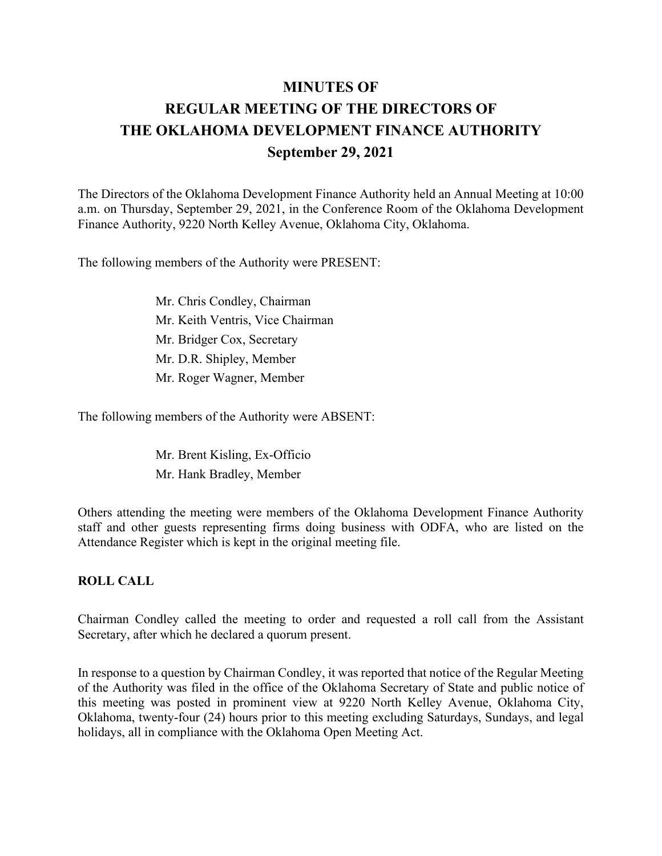# **MINUTES OF REGULAR MEETING OF THE DIRECTORS OF THE OKLAHOMA DEVELOPMENT FINANCE AUTHORITY September 29, 2021**

The Directors of the Oklahoma Development Finance Authority held an Annual Meeting at 10:00 a.m. on Thursday, September 29, 2021, in the Conference Room of the Oklahoma Development Finance Authority, 9220 North Kelley Avenue, Oklahoma City, Oklahoma.

The following members of the Authority were PRESENT:

Mr. Chris Condley, Chairman Mr. Keith Ventris, Vice Chairman Mr. Bridger Cox, Secretary Mr. D.R. Shipley, Member Mr. Roger Wagner, Member

The following members of the Authority were ABSENT:

Mr. Brent Kisling, Ex-Officio Mr. Hank Bradley, Member

Others attending the meeting were members of the Oklahoma Development Finance Authority staff and other guests representing firms doing business with ODFA, who are listed on the Attendance Register which is kept in the original meeting file.

## **ROLL CALL**

Chairman Condley called the meeting to order and requested a roll call from the Assistant Secretary, after which he declared a quorum present.

In response to a question by Chairman Condley, it was reported that notice of the Regular Meeting of the Authority was filed in the office of the Oklahoma Secretary of State and public notice of this meeting was posted in prominent view at 9220 North Kelley Avenue, Oklahoma City, Oklahoma, twenty-four (24) hours prior to this meeting excluding Saturdays, Sundays, and legal holidays, all in compliance with the Oklahoma Open Meeting Act.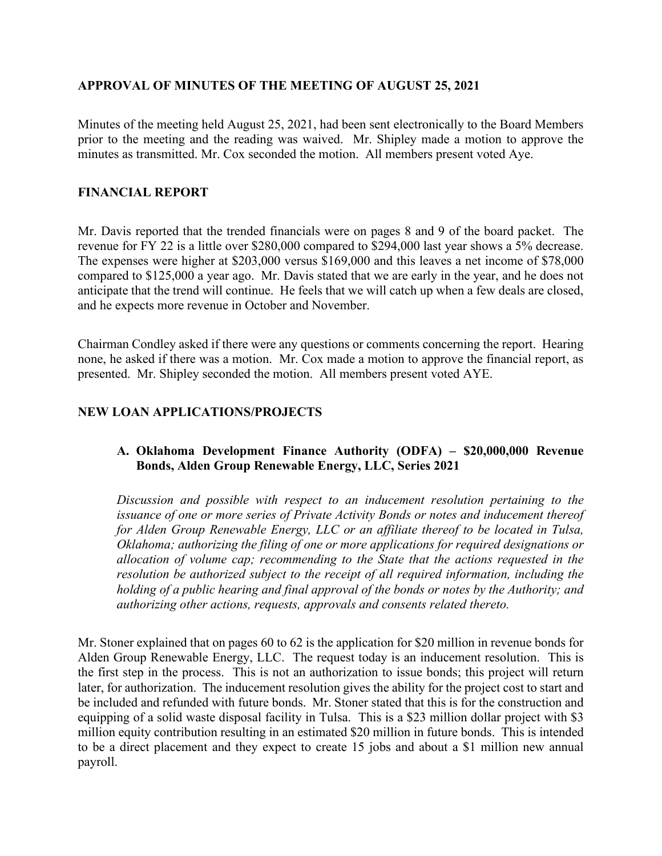# **APPROVAL OF MINUTES OF THE MEETING OF AUGUST 25, 2021**

Minutes of the meeting held August 25, 2021, had been sent electronically to the Board Members prior to the meeting and the reading was waived. Mr. Shipley made a motion to approve the minutes as transmitted. Mr. Cox seconded the motion. All members present voted Aye.

# **FINANCIAL REPORT**

Mr. Davis reported that the trended financials were on pages 8 and 9 of the board packet. The revenue for FY 22 is a little over \$280,000 compared to \$294,000 last year shows a 5% decrease. The expenses were higher at \$203,000 versus \$169,000 and this leaves a net income of \$78,000 compared to \$125,000 a year ago. Mr. Davis stated that we are early in the year, and he does not anticipate that the trend will continue. He feels that we will catch up when a few deals are closed, and he expects more revenue in October and November.

Chairman Condley asked if there were any questions or comments concerning the report. Hearing none, he asked if there was a motion. Mr. Cox made a motion to approve the financial report, as presented. Mr. Shipley seconded the motion. All members present voted AYE.

# **NEW LOAN APPLICATIONS/PROJECTS**

# **A. Oklahoma Development Finance Authority (ODFA) – \$20,000,000 Revenue Bonds, Alden Group Renewable Energy, LLC, Series 2021**

*Discussion and possible with respect to an inducement resolution pertaining to the issuance of one or more series of Private Activity Bonds or notes and inducement thereof for Alden Group Renewable Energy, LLC or an affiliate thereof to be located in Tulsa, Oklahoma; authorizing the filing of one or more applications for required designations or allocation of volume cap; recommending to the State that the actions requested in the resolution be authorized subject to the receipt of all required information, including the holding of a public hearing and final approval of the bonds or notes by the Authority; and authorizing other actions, requests, approvals and consents related thereto.*

Mr. Stoner explained that on pages 60 to 62 is the application for \$20 million in revenue bonds for Alden Group Renewable Energy, LLC. The request today is an inducement resolution. This is the first step in the process. This is not an authorization to issue bonds; this project will return later, for authorization. The inducement resolution gives the ability for the project cost to start and be included and refunded with future bonds. Mr. Stoner stated that this is for the construction and equipping of a solid waste disposal facility in Tulsa. This is a \$23 million dollar project with \$3 million equity contribution resulting in an estimated \$20 million in future bonds. This is intended to be a direct placement and they expect to create 15 jobs and about a \$1 million new annual payroll.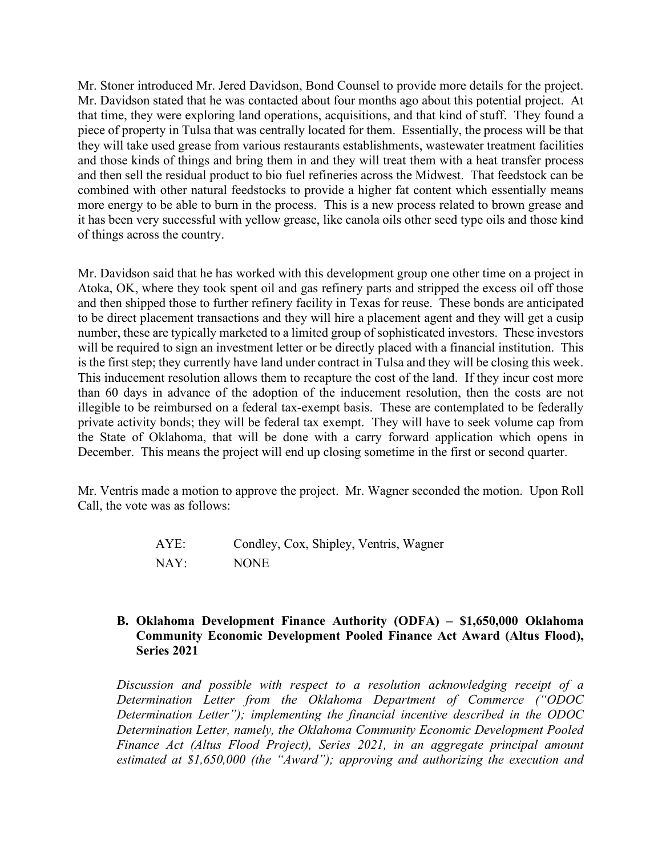Mr. Stoner introduced Mr. Jered Davidson, Bond Counsel to provide more details for the project. Mr. Davidson stated that he was contacted about four months ago about this potential project. At that time, they were exploring land operations, acquisitions, and that kind of stuff. They found a piece of property in Tulsa that was centrally located for them. Essentially, the process will be that they will take used grease from various restaurants establishments, wastewater treatment facilities and those kinds of things and bring them in and they will treat them with a heat transfer process and then sell the residual product to bio fuel refineries across the Midwest. That feedstock can be combined with other natural feedstocks to provide a higher fat content which essentially means more energy to be able to burn in the process. This is a new process related to brown grease and it has been very successful with yellow grease, like canola oils other seed type oils and those kind of things across the country.

Mr. Davidson said that he has worked with this development group one other time on a project in Atoka, OK, where they took spent oil and gas refinery parts and stripped the excess oil off those and then shipped those to further refinery facility in Texas for reuse. These bonds are anticipated to be direct placement transactions and they will hire a placement agent and they will get a cusip number, these are typically marketed to a limited group of sophisticated investors. These investors will be required to sign an investment letter or be directly placed with a financial institution. This is the first step; they currently have land under contract in Tulsa and they will be closing this week. This inducement resolution allows them to recapture the cost of the land. If they incur cost more than 60 days in advance of the adoption of the inducement resolution, then the costs are not illegible to be reimbursed on a federal tax-exempt basis. These are contemplated to be federally private activity bonds; they will be federal tax exempt. They will have to seek volume cap from the State of Oklahoma, that will be done with a carry forward application which opens in December. This means the project will end up closing sometime in the first or second quarter.

Mr. Ventris made a motion to approve the project. Mr. Wagner seconded the motion. Upon Roll Call, the vote was as follows:

| AYE: | Condley, Cox, Shipley, Ventris, Wagner |
|------|----------------------------------------|
| NAY: | <b>NONE</b>                            |

## **B. Oklahoma Development Finance Authority (ODFA) – \$1,650,000 Oklahoma Community Economic Development Pooled Finance Act Award (Altus Flood), Series 2021**

*Discussion and possible with respect to a resolution acknowledging receipt of a Determination Letter from the Oklahoma Department of Commerce ("ODOC Determination Letter"); implementing the financial incentive described in the ODOC Determination Letter, namely, the Oklahoma Community Economic Development Pooled Finance Act (Altus Flood Project), Series 2021, in an aggregate principal amount estimated at \$1,650,000 (the "Award"); approving and authorizing the execution and*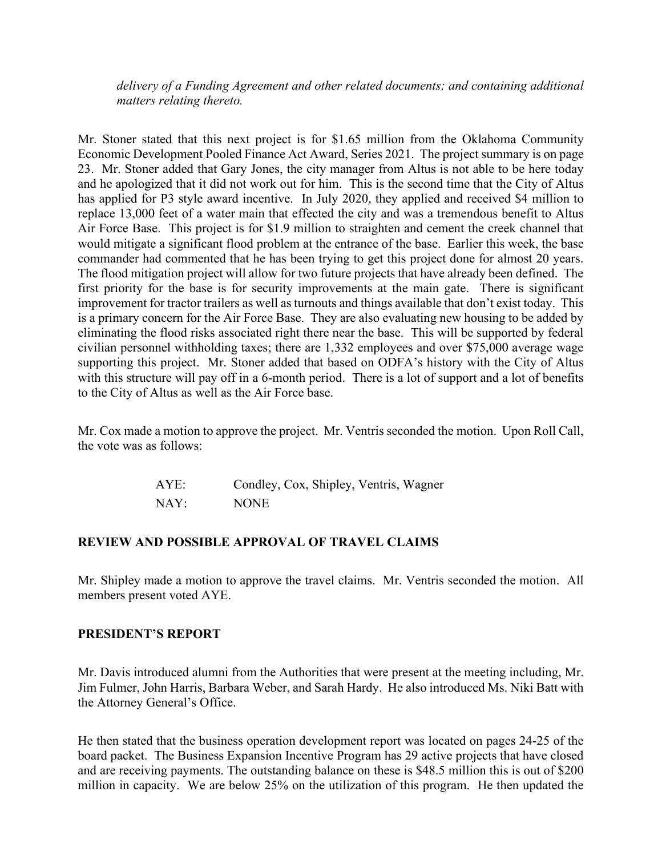*delivery of a Funding Agreement and other related documents; and containing additional matters relating thereto.*

Mr. Stoner stated that this next project is for \$1.65 million from the Oklahoma Community Economic Development Pooled Finance Act Award, Series 2021. The project summary is on page 23. Mr. Stoner added that Gary Jones, the city manager from Altus is not able to be here today and he apologized that it did not work out for him. This is the second time that the City of Altus has applied for P3 style award incentive. In July 2020, they applied and received \$4 million to replace 13,000 feet of a water main that effected the city and was a tremendous benefit to Altus Air Force Base. This project is for \$1.9 million to straighten and cement the creek channel that would mitigate a significant flood problem at the entrance of the base. Earlier this week, the base commander had commented that he has been trying to get this project done for almost 20 years. The flood mitigation project will allow for two future projects that have already been defined. The first priority for the base is for security improvements at the main gate. There is significant improvement for tractor trailers as well as turnouts and things available that don't exist today. This is a primary concern for the Air Force Base. They are also evaluating new housing to be added by eliminating the flood risks associated right there near the base. This will be supported by federal civilian personnel withholding taxes; there are 1,332 employees and over \$75,000 average wage supporting this project. Mr. Stoner added that based on ODFA's history with the City of Altus with this structure will pay off in a 6-month period. There is a lot of support and a lot of benefits to the City of Altus as well as the Air Force base.

Mr. Cox made a motion to approve the project. Mr. Ventris seconded the motion. Upon Roll Call, the vote was as follows:

| AYE: | Condley, Cox, Shipley, Ventris, Wagner |
|------|----------------------------------------|
| NAY: | <b>NONE</b>                            |

## **REVIEW AND POSSIBLE APPROVAL OF TRAVEL CLAIMS**

Mr. Shipley made a motion to approve the travel claims. Mr. Ventris seconded the motion. All members present voted AYE.

#### **PRESIDENT'S REPORT**

Mr. Davis introduced alumni from the Authorities that were present at the meeting including, Mr. Jim Fulmer, John Harris, Barbara Weber, and Sarah Hardy. He also introduced Ms. Niki Batt with the Attorney General's Office.

He then stated that the business operation development report was located on pages 24-25 of the board packet. The Business Expansion Incentive Program has 29 active projects that have closed and are receiving payments. The outstanding balance on these is \$48.5 million this is out of \$200 million in capacity. We are below 25% on the utilization of this program. He then updated the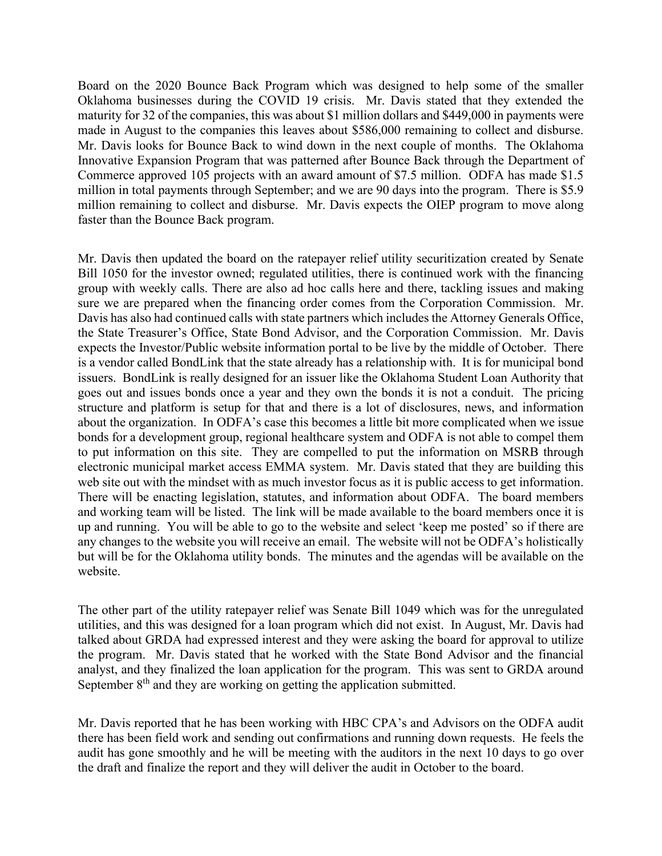Board on the 2020 Bounce Back Program which was designed to help some of the smaller Oklahoma businesses during the COVID 19 crisis. Mr. Davis stated that they extended the maturity for 32 of the companies, this was about \$1 million dollars and \$449,000 in payments were made in August to the companies this leaves about \$586,000 remaining to collect and disburse. Mr. Davis looks for Bounce Back to wind down in the next couple of months. The Oklahoma Innovative Expansion Program that was patterned after Bounce Back through the Department of Commerce approved 105 projects with an award amount of \$7.5 million. ODFA has made \$1.5 million in total payments through September; and we are 90 days into the program. There is \$5.9 million remaining to collect and disburse. Mr. Davis expects the OIEP program to move along faster than the Bounce Back program.

Mr. Davis then updated the board on the ratepayer relief utility securitization created by Senate Bill 1050 for the investor owned; regulated utilities, there is continued work with the financing group with weekly calls. There are also ad hoc calls here and there, tackling issues and making sure we are prepared when the financing order comes from the Corporation Commission. Mr. Davis has also had continued calls with state partners which includes the Attorney Generals Office, the State Treasurer's Office, State Bond Advisor, and the Corporation Commission. Mr. Davis expects the Investor/Public website information portal to be live by the middle of October. There is a vendor called BondLink that the state already has a relationship with. It is for municipal bond issuers. BondLink is really designed for an issuer like the Oklahoma Student Loan Authority that goes out and issues bonds once a year and they own the bonds it is not a conduit. The pricing structure and platform is setup for that and there is a lot of disclosures, news, and information about the organization. In ODFA's case this becomes a little bit more complicated when we issue bonds for a development group, regional healthcare system and ODFA is not able to compel them to put information on this site. They are compelled to put the information on MSRB through electronic municipal market access EMMA system. Mr. Davis stated that they are building this web site out with the mindset with as much investor focus as it is public access to get information. There will be enacting legislation, statutes, and information about ODFA. The board members and working team will be listed. The link will be made available to the board members once it is up and running. You will be able to go to the website and select 'keep me posted' so if there are any changes to the website you will receive an email. The website will not be ODFA's holistically but will be for the Oklahoma utility bonds. The minutes and the agendas will be available on the website.

The other part of the utility ratepayer relief was Senate Bill 1049 which was for the unregulated utilities, and this was designed for a loan program which did not exist. In August, Mr. Davis had talked about GRDA had expressed interest and they were asking the board for approval to utilize the program. Mr. Davis stated that he worked with the State Bond Advisor and the financial analyst, and they finalized the loan application for the program. This was sent to GRDA around September  $8<sup>th</sup>$  and they are working on getting the application submitted.

Mr. Davis reported that he has been working with HBC CPA's and Advisors on the ODFA audit there has been field work and sending out confirmations and running down requests. He feels the audit has gone smoothly and he will be meeting with the auditors in the next 10 days to go over the draft and finalize the report and they will deliver the audit in October to the board.